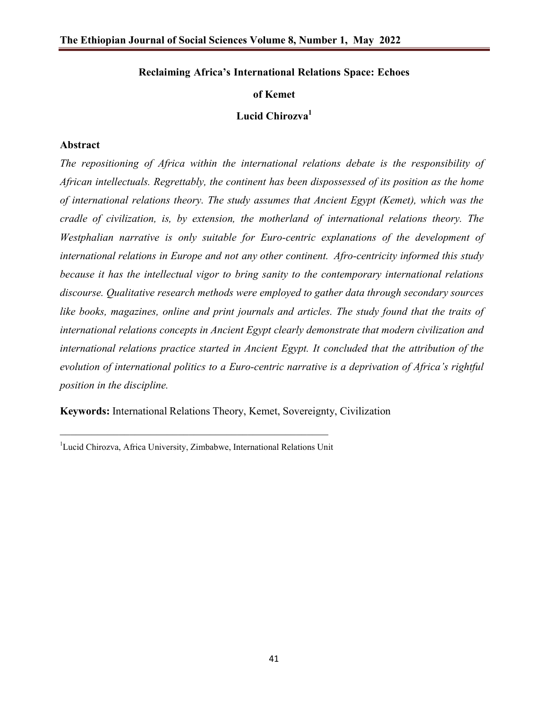# **Reclaiming Africa's International Relations Space: Echoes**

# **of Kemet**

# Lucid Chirozva<sup>1</sup>

# **Abstract**

*The repositioning of Africa within the international relations debate is the responsibility of African intellectuals. Regrettably, the continent has been dispossessed of its position as the home of international relations theory. The study assumes that Ancient Egypt (Kemet), which was the cradle of civilization, is, by extension, the motherland of international relations theory. The Westphalian narrative is only suitable for Euro-centric explanations of the development of international relations in Europe and not any other continent. Afro-centricity informed this study because it has the intellectual vigor to bring sanity to the contemporary international relations discourse. Qualitative research methods were employed to gather data through secondary sources like books, magazines, online and print journals and articles. The study found that the traits of international relations concepts in Ancient Egypt clearly demonstrate that modern civilization and international relations practice started in Ancient Egypt. It concluded that the attribution of the evolution of international politics to a Euro-centric narrative is a deprivation of Africa's rightful position in the discipline.*

**Keywords:** International Relations Theory, Kemet, Sovereignty, Civilization

\_\_\_\_\_\_\_\_\_\_\_\_\_\_\_\_\_\_\_\_\_\_\_\_\_\_\_\_\_\_\_\_\_\_\_\_\_\_\_\_\_\_\_\_\_\_\_\_\_\_ <sup>1</sup>Lucid Chirozva, Africa University, Zimbabwe, International Relations Unit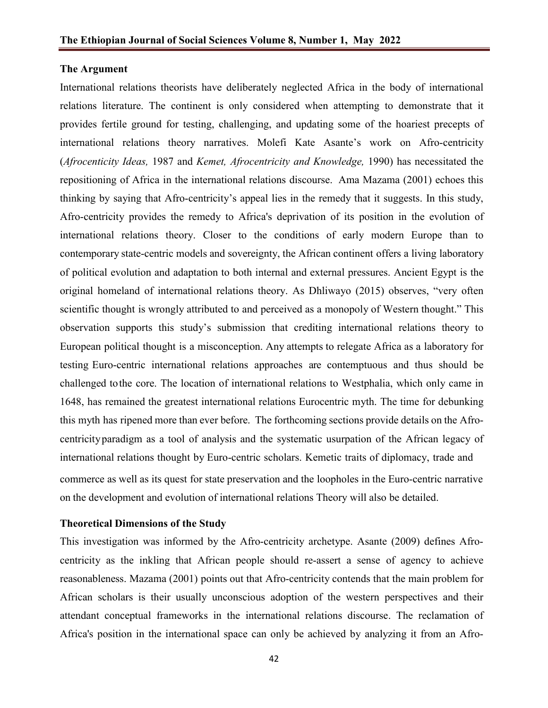# **The Argument**

International relations theorists have deliberately neglected Africa in the body of international relations literature. The continent is only considered when attempting to demonstrate that it provides fertile ground for testing, challenging, and updating some of the hoariest precepts of international relations theory narratives. Molefi Kate Asante's work on Afro-centricity (*Afrocenticity Ideas,* 1987 and *Kemet, Afrocentricity and Knowledge,* 1990) has necessitated the repositioning of Africa in the international relations discourse. Ama Mazama (2001) echoes this thinking by saying that Afro-centricity's appeal lies in the remedy that it suggests. In this study, Afro-centricity provides the remedy to Africa's deprivation of its position in the evolution of international relations theory. Closer to the conditions of early modern Europe than to contemporary state-centric models and sovereignty, the African continent offers a living laboratory of political evolution and adaptation to both internal and external pressures. Ancient Egypt is the original homeland of international relations theory. As Dhliwayo (2015) observes, "very often scientific thought is wrongly attributed to and perceived as a monopoly of Western thought." This observation supports this study's submission that crediting international relations theory to European political thought is a misconception. Any attempts to relegate Africa as a laboratory for testing Euro-centric international relations approaches are contemptuous and thus should be challenged tothe core. The location of international relations to Westphalia, which only came in 1648, has remained the greatest international relations Eurocentric myth. The time for debunking this myth has ripened more than ever before. The forthcoming sections provide details on the Afrocentricityparadigm as a tool of analysis and the systematic usurpation of the African legacy of international relations thought by Euro-centric scholars. Kemetic traits of diplomacy, trade and commerce as well as its quest for state preservation and the loopholes in the Euro-centric narrative on the development and evolution of international relations Theory will also be detailed.

# **Theoretical Dimensions of the Study**

This investigation was informed by the Afro-centricity archetype. Asante (2009) defines Afrocentricity as the inkling that African people should re-assert a sense of agency to achieve reasonableness. Mazama (2001) points out that Afro-centricity contends that the main problem for African scholars is their usually unconscious adoption of the western perspectives and their attendant conceptual frameworks in the international relations discourse. The reclamation of Africa's position in the international space can only be achieved by analyzing it from an Afro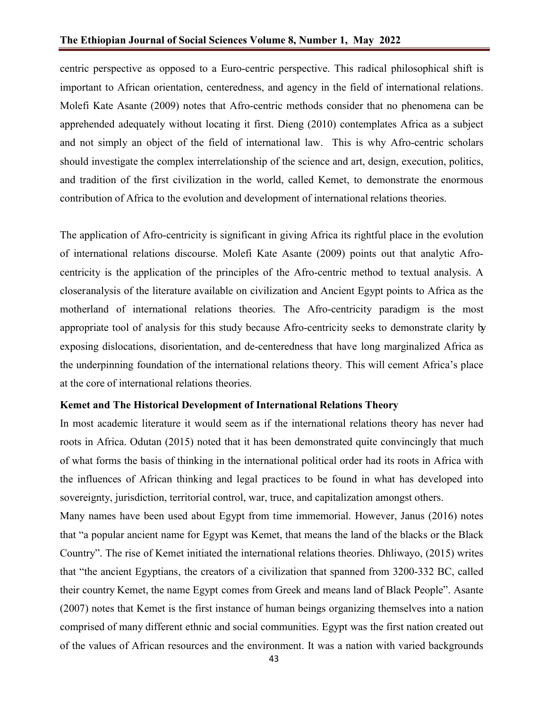centric perspective as opposed to a Euro-centric perspective. This radical philosophical shift is important to African orientation, centeredness, and agency in the field of international relations. Molefi Kate Asante (2009) notes that Afro-centric methods consider that no phenomena can be apprehended adequately without locating it first. Dieng (2010) contemplates Africa as a subject and not simply an object of the field of international law. This is why Afro-centric scholars should investigate the complex interrelationship of the science and art, design, execution, politics, and tradition of the first civilization in the world, called Kemet, to demonstrate the enormous contribution of Africa to the evolution and development of international relations theories.

The application of Afro-centricity is significant in giving Africa its rightful place in the evolution of international relations discourse. Molefi Kate Asante (2009) points out that analytic Afrocentricity is the application of the principles of the Afro-centric method to textual analysis. A closeranalysis of the literature available on civilization and Ancient Egypt points to Africa as the motherland of international relations theories. The Afro-centricity paradigm is the most appropriate tool of analysis for this study because Afro-centricity seeks to demonstrate clarity by exposing dislocations, disorientation, and de-centeredness that have long marginalized Africa as the underpinning foundation of the international relations theory. This will cement Africa's place at the core of international relations theories.

## **Kemet and The Historical Development of International Relations Theory**

In most academic literature it would seem as if the international relations theory has never had roots in Africa. Odutan (2015) noted that it has been demonstrated quite convincingly that much of what forms the basis of thinking in the international political order had its roots in Africa with the influences of African thinking and legal practices to be found in what has developed into sovereignty, jurisdiction, territorial control, war, truce, and capitalization amongst others.

Many names have been used about Egypt from time immemorial. However, Janus (2016) notes that "a popular ancient name for Egypt was Kemet, that means the land of the blacks or the Black Country". The rise of Kemet initiated the international relations theories. Dhliwayo, (2015) writes that "the ancient Egyptians, the creators of a civilization that spanned from 3200-332 BC, called their country Kemet, the name Egypt comes from Greek and means land of Black People". Asante (2007) notes that Kemet is the first instance of human beings organizing themselves into a nation comprised of many different ethnic and social communities. Egypt was the first nation created out of the values of African resources and the environment. It was a nation with varied backgrounds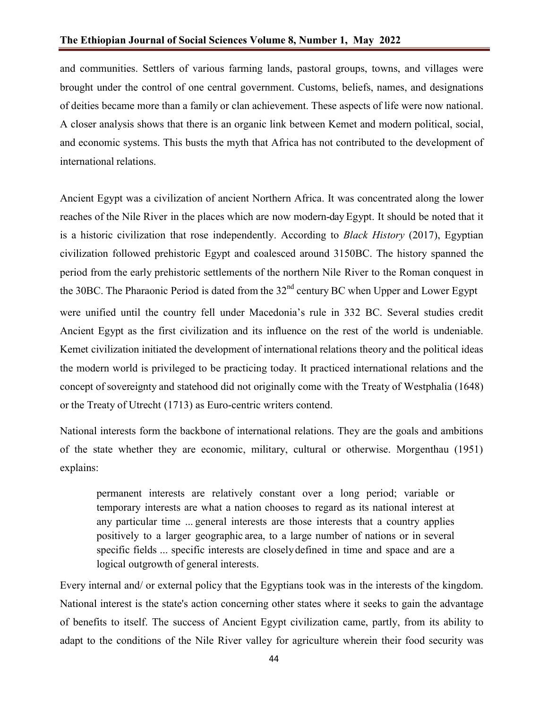and communities. Settlers of various farming lands, pastoral groups, towns, and villages were brought under the control of one central government. Customs, beliefs, names, and designations of deities became more than a family or clan achievement. These aspects of life were now national. A closer analysis shows that there is an organic link between Kemet and modern political, social, and economic systems. This busts the myth that Africa has not contributed to the development of international relations.

Ancient Egypt was a civilization of ancient Northern Africa. It was concentrated along the lower reaches of the Nile River in the places which are now modern-day Egypt. It should be noted that it is a historic civilization that rose independently. According to *Black History* (2017), Egyptian civilization followed prehistoric Egypt and coalesced around 3150BC. The history spanned the period from the early prehistoric settlements of the northern Nile River to the Roman conquest in the 30BC. The Pharaonic Period is dated from the 32<sup>nd</sup> century BC when Upper and Lower Egypt were unified until the country fell under Macedonia's rule in 332 BC. Several studies credit Ancient Egypt as the first civilization and its influence on the rest of the world is undeniable. Kemet civilization initiated the development of international relations theory and the political ideas the modern world is privileged to be practicing today. It practiced international relations and the concept of sovereignty and statehood did not originally come with the Treaty of Westphalia (1648) or the Treaty of Utrecht (1713) as Euro-centric writers contend.

National interests form the backbone of international relations. They are the goals and ambitions of the state whether they are economic, military, cultural or otherwise. Morgenthau (1951) explains:

permanent interests are relatively constant over a long period; variable or temporary interests are what a nation chooses to regard as its national interest at any particular time ... general interests are those interests that a country applies positively to a larger geographic area, to a large number of nations or in several specific fields ... specific interests are closelydefined in time and space and are a logical outgrowth of general interests.

Every internal and/ or external policy that the Egyptians took was in the interests of the kingdom. National interest is the state's action concerning other states where it seeks to gain the advantage of benefits to itself. The success of Ancient Egypt civilization came, partly, from its ability to adapt to the conditions of the Nile River valley for agriculture wherein their food security was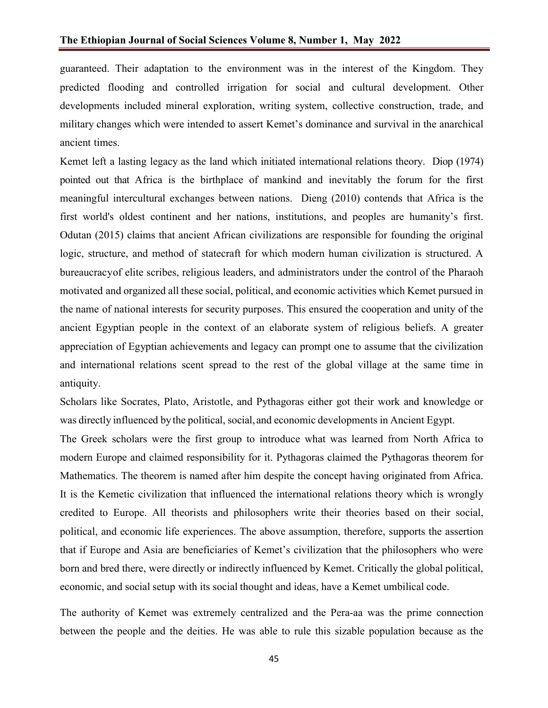guaranteed. Their adaptation to the environment was in the interest of the Kingdom. They predicted flooding and controlled irrigation for social and cultural development. Other developments included mineral exploration, writing system, collective construction, trade, and military changes which were intended to assert Kemet's dominance and survival in the anarchical ancient times.

Kemet left a lasting legacy as the land which initiated international relations theory. Diop (1974) pointed out that Africa is the birthplace of mankind and inevitably the forum for the first meaningful intercultural exchanges between nations. Dieng (2010) contends that Africa is the first world's oldest continent and her nations, institutions, and peoples are humanity's first. Odutan (2015) claims that ancient African civilizations are responsible for founding the original logic, structure, and method of statecraft for which modern human civilization is structured. A bureaucracyof elite scribes, religious leaders, and administrators under the control of the Pharaoh motivated and organized all these social, political, and economic activities which Kemet pursued in the name of national interests for security purposes. This ensured the cooperation and unity of the ancient Egyptian people in the context of an elaborate system of religious beliefs. A greater appreciation of Egyptian achievements and legacy can prompt one to assume that the civilization and international relations scent spread to the rest of the global village at the same time in antiquity.

Scholars like Socrates, Plato, Aristotle, and Pythagoras either got their work and knowledge or was directly influenced by the political, social, and economic developments in Ancient Egypt.

The Greek scholars were the first group to introduce what was learned from North Africa to modern Europe and claimed responsibility for it. Pythagoras claimed the Pythagoras theorem for Mathematics. The theorem is named after him despite the concept having originated from Africa. It is the Kemetic civilization that influenced the international relations theory which is wrongly credited to Europe. All theorists and philosophers write their theories based on their social, political, and economic life experiences. The above assumption, therefore, supports the assertion that if Europe and Asia are beneficiaries of Kemet's civilization that the philosophers who were born and bred there, were directly or indirectly influenced by Kemet. Critically the global political, economic, and social setup with its social thought and ideas, have a Kemet umbilical code.

The authority of Kemet was extremely centralized and the Pera-aa was the prime connection between the people and the deities. He was able to rule this sizable population because as the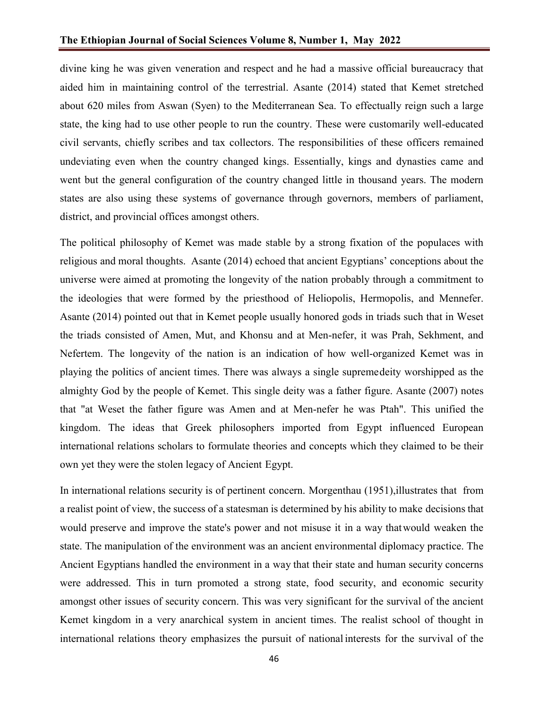divine king he was given veneration and respect and he had a massive official bureaucracy that aided him in maintaining control of the terrestrial. Asante (2014) stated that Kemet stretched about 620 miles from Aswan (Syen) to the Mediterranean Sea. To effectually reign such a large state, the king had to use other people to run the country. These were customarily well-educated civil servants, chiefly scribes and tax collectors. The responsibilities of these officers remained undeviating even when the country changed kings. Essentially, kings and dynasties came and went but the general configuration of the country changed little in thousand years. The modern states are also using these systems of governance through governors, members of parliament, district, and provincial offices amongst others.

The political philosophy of Kemet was made stable by a strong fixation of the populaces with religious and moral thoughts. Asante (2014) echoed that ancient Egyptians' conceptions about the universe were aimed at promoting the longevity of the nation probably through a commitment to the ideologies that were formed by the priesthood of Heliopolis, Hermopolis, and Mennefer. Asante (2014) pointed out that in Kemet people usually honored gods in triads such that in Weset the triads consisted of Amen, Mut, and Khonsu and at Men-nefer, it was Prah, Sekhment, and Nefertem. The longevity of the nation is an indication of how well-organized Kemet was in playing the politics of ancient times. There was always a single supremedeity worshipped as the almighty God by the people of Kemet. This single deity was a father figure. Asante (2007) notes that "at Weset the father figure was Amen and at Men-nefer he was Ptah". This unified the kingdom. The ideas that Greek philosophers imported from Egypt influenced European international relations scholars to formulate theories and concepts which they claimed to be their own yet they were the stolen legacy of Ancient Egypt.

In international relations security is of pertinent concern. Morgenthau (1951), illustrates that from a realist point of view, the success of a statesman is determined by his ability to make decisions that would preserve and improve the state's power and not misuse it in a way thatwould weaken the state. The manipulation of the environment was an ancient environmental diplomacy practice. The Ancient Egyptians handled the environment in a way that their state and human security concerns were addressed. This in turn promoted a strong state, food security, and economic security amongst other issues of security concern. This was very significant for the survival of the ancient Kemet kingdom in a very anarchical system in ancient times. The realist school of thought in international relations theory emphasizes the pursuit of national interests for the survival of the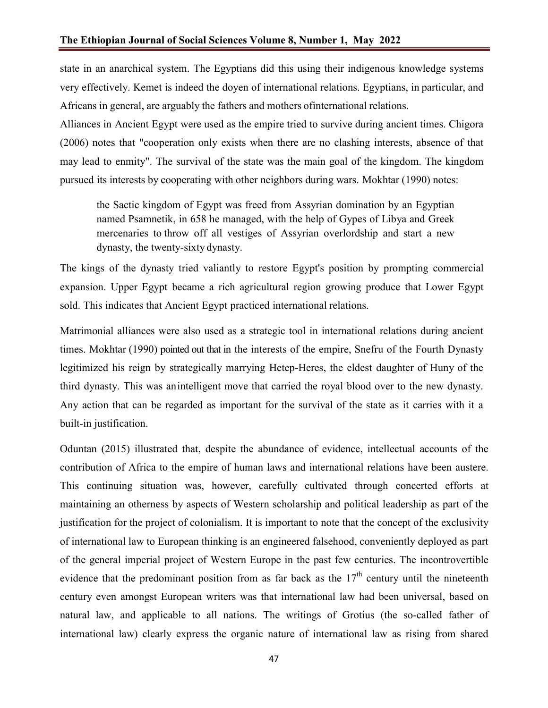state in an anarchical system. The Egyptians did this using their indigenous knowledge systems very effectively. Kemet is indeed the doyen of international relations. Egyptians, in particular, and Africans in general, are arguably the fathers and mothers ofinternational relations.

Alliances in Ancient Egypt were used as the empire tried to survive during ancient times. Chigora (2006) notes that "cooperation only exists when there are no clashing interests, absence of that may lead to enmity". The survival of the state was the main goal of the kingdom. The kingdom pursued its interests by cooperating with other neighbors during wars. Mokhtar (1990) notes:

the Sactic kingdom of Egypt was freed from Assyrian domination by an Egyptian named Psamnetik, in 658 he managed, with the help of Gypes of Libya and Greek mercenaries to throw off all vestiges of Assyrian overlordship and start a new dynasty, the twenty-sixty dynasty.

The kings of the dynasty tried valiantly to restore Egypt's position by prompting commercial expansion. Upper Egypt became a rich agricultural region growing produce that Lower Egypt sold. This indicates that Ancient Egypt practiced international relations.

Matrimonial alliances were also used as a strategic tool in international relations during ancient times. Mokhtar (1990) pointed out that in the interests of the empire, Snefru of the Fourth Dynasty legitimized his reign by strategically marrying Hetep-Heres, the eldest daughter of Huny of the third dynasty. This was anintelligent move that carried the royal blood over to the new dynasty. Any action that can be regarded as important for the survival of the state as it carries with it a built-in justification.

Oduntan (2015) illustrated that, despite the abundance of evidence, intellectual accounts of the contribution of Africa to the empire of human laws and international relations have been austere. This continuing situation was, however, carefully cultivated through concerted efforts at maintaining an otherness by aspects of Western scholarship and political leadership as part of the justification for the project of colonialism. It is important to note that the concept of the exclusivity of international law to European thinking is an engineered falsehood, conveniently deployed as part of the general imperial project of Western Europe in the past few centuries. The incontrovertible evidence that the predominant position from as far back as the  $17<sup>th</sup>$  century until the nineteenth century even amongst European writers was that international law had been universal, based on natural law, and applicable to all nations. The writings of Grotius (the so-called father of international law) clearly express the organic nature of international law as rising from shared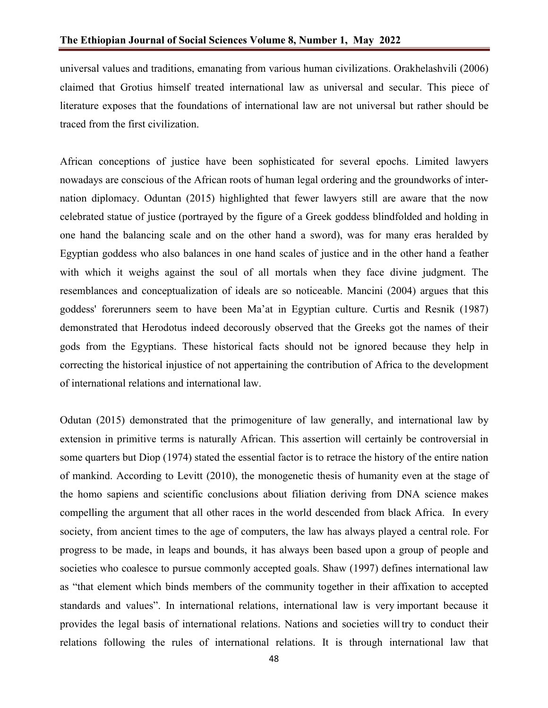universal values and traditions, emanating from various human civilizations. Orakhelashvili (2006) claimed that Grotius himself treated international law as universal and secular. This piece of literature exposes that the foundations of international law are not universal but rather should be traced from the first civilization.

African conceptions of justice have been sophisticated for several epochs. Limited lawyers nowadays are conscious of the African roots of human legal ordering and the groundworks of internation diplomacy. Oduntan (2015) highlighted that fewer lawyers still are aware that the now celebrated statue of justice (portrayed by the figure of a Greek goddess blindfolded and holding in one hand the balancing scale and on the other hand a sword), was for many eras heralded by Egyptian goddess who also balances in one hand scales of justice and in the other hand a feather with which it weighs against the soul of all mortals when they face divine judgment. The resemblances and conceptualization of ideals are so noticeable. Mancini (2004) argues that this goddess' forerunners seem to have been Ma'at in Egyptian culture. Curtis and Resnik (1987) demonstrated that Herodotus indeed decorously observed that the Greeks got the names of their gods from the Egyptians. These historical facts should not be ignored because they help in correcting the historical injustice of not appertaining the contribution of Africa to the development of international relations and international law.

Odutan (2015) demonstrated that the primogeniture of law generally, and international law by extension in primitive terms is naturally African. This assertion will certainly be controversial in some quarters but Diop (1974) stated the essential factor is to retrace the history of the entire nation of mankind. According to Levitt (2010), the monogenetic thesis of humanity even at the stage of the homo sapiens and scientific conclusions about filiation deriving from DNA science makes compelling the argument that all other races in the world descended from black Africa. In every society, from ancient times to the age of computers, the law has always played a central role. For progress to be made, in leaps and bounds, it has always been based upon a group of people and societies who coalesce to pursue commonly accepted goals. Shaw (1997) defines international law as "that element which binds members of the community together in their affixation to accepted standards and values". In international relations, international law is very important because it provides the legal basis of international relations. Nations and societies will try to conduct their relations following the rules of international relations. It is through international law that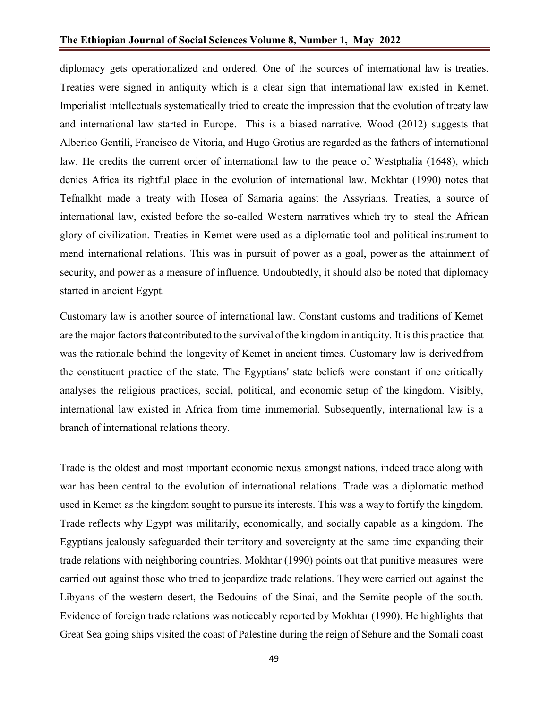diplomacy gets operationalized and ordered. One of the sources of international law is treaties. Treaties were signed in antiquity which is a clear sign that international law existed in Kemet. Imperialist intellectuals systematically tried to create the impression that the evolution of treaty law and international law started in Europe. This is a biased narrative. Wood (2012) suggests that Alberico Gentili, Francisco de Vitoria, and Hugo Grotius are regarded as the fathers of international law. He credits the current order of international law to the peace of Westphalia (1648), which denies Africa its rightful place in the evolution of international law. Mokhtar (1990) notes that Tefnalkht made a treaty with Hosea of Samaria against the Assyrians. Treaties, a source of international law, existed before the so-called Western narratives which try to steal the African glory of civilization. Treaties in Kemet were used as a diplomatic tool and political instrument to mend international relations. This was in pursuit of power as a goal, power as the attainment of security, and power as a measure of influence. Undoubtedly, it should also be noted that diplomacy started in ancient Egypt.

Customary law is another source of international law. Constant customs and traditions of Kemet are the major factors that contributed to the survival of the kingdom in antiquity. It is this practice that was the rationale behind the longevity of Kemet in ancient times. Customary law is derivedfrom the constituent practice of the state. The Egyptians' state beliefs were constant if one critically analyses the religious practices, social, political, and economic setup of the kingdom. Visibly, international law existed in Africa from time immemorial. Subsequently, international law is a branch of international relations theory.

Trade is the oldest and most important economic nexus amongst nations, indeed trade along with war has been central to the evolution of international relations. Trade was a diplomatic method used in Kemet as the kingdom sought to pursue its interests. This was a way to fortify the kingdom. Trade reflects why Egypt was militarily, economically, and socially capable as a kingdom. The Egyptians jealously safeguarded their territory and sovereignty at the same time expanding their trade relations with neighboring countries. Mokhtar (1990) points out that punitive measures were carried out against those who tried to jeopardize trade relations. They were carried out against the Libyans of the western desert, the Bedouins of the Sinai, and the Semite people of the south. Evidence of foreign trade relations was noticeably reported by Mokhtar (1990). He highlights that Great Sea going ships visited the coast of Palestine during the reign of Sehure and the Somali coast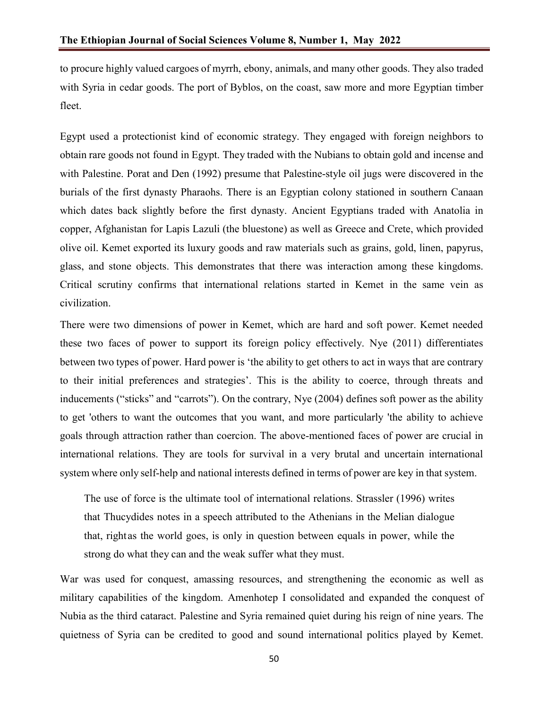to procure highly valued cargoes of myrrh, ebony, animals, and many other goods. They also traded with Syria in cedar goods. The port of Byblos, on the coast, saw more and more Egyptian timber fleet.

Egypt used a protectionist kind of economic strategy. They engaged with foreign neighbors to obtain rare goods not found in Egypt. They traded with the Nubians to obtain gold and incense and with Palestine. Porat and Den (1992) presume that Palestine-style oil jugs were discovered in the burials of the first dynasty Pharaohs. There is an Egyptian colony stationed in southern Canaan which dates back slightly before the first dynasty. Ancient Egyptians traded with Anatolia in copper, Afghanistan for Lapis Lazuli (the bluestone) as well as Greece and Crete, which provided olive oil. Kemet exported its luxury goods and raw materials such as grains, gold, linen, papyrus, glass, and stone objects. This demonstrates that there was interaction among these kingdoms. Critical scrutiny confirms that international relations started in Kemet in the same vein as civilization.

There were two dimensions of power in Kemet, which are hard and soft power. Kemet needed these two faces of power to support its foreign policy effectively. Nye (2011) differentiates between two types of power. Hard power is 'the ability to get others to act in ways that are contrary to their initial preferences and strategies'. This is the ability to coerce, through threats and inducements ("sticks" and "carrots"). On the contrary, Nye (2004) defines soft power as the ability to get 'others to want the outcomes that you want, and more particularly 'the ability to achieve goals through attraction rather than coercion. The above-mentioned faces of power are crucial in international relations. They are tools for survival in a very brutal and uncertain international system where only self-help and national interests defined in terms of power are key in that system.

The use of force is the ultimate tool of international relations. Strassler (1996) writes that Thucydides notes in a speech attributed to the Athenians in the Melian dialogue that, right as the world goes, is only in question between equals in power, while the strong do what they can and the weak suffer what they must.

War was used for conquest, amassing resources, and strengthening the economic as well as military capabilities of the kingdom. Amenhotep I consolidated and expanded the conquest of Nubia as the third cataract. Palestine and Syria remained quiet during his reign of nine years. The quietness of Syria can be credited to good and sound international politics played by Kemet.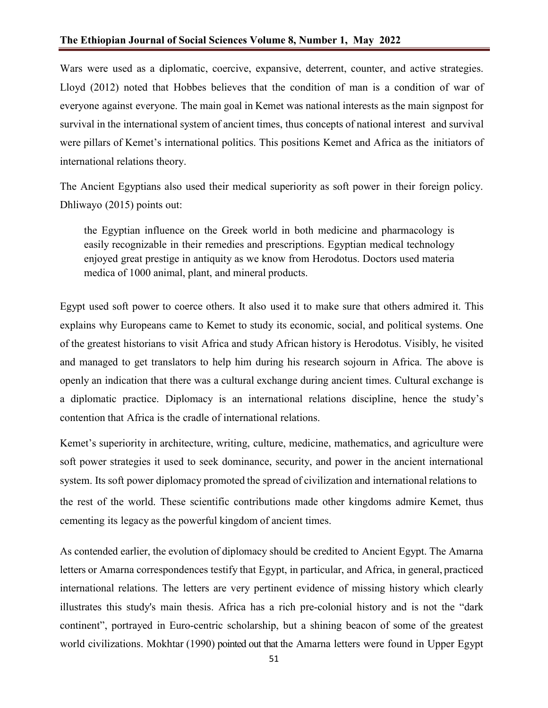Wars were used as a diplomatic, coercive, expansive, deterrent, counter, and active strategies. Lloyd (2012) noted that Hobbes believes that the condition of man is a condition of war of everyone against everyone. The main goal in Kemet was national interests as the main signpost for survival in the international system of ancient times, thus concepts of national interest and survival were pillars of Kemet's international politics. This positions Kemet and Africa as the initiators of international relations theory.

The Ancient Egyptians also used their medical superiority as soft power in their foreign policy. Dhliwayo (2015) points out:

the Egyptian influence on the Greek world in both medicine and pharmacology is easily recognizable in their remedies and prescriptions. Egyptian medical technology enjoyed great prestige in antiquity as we know from Herodotus. Doctors used materia medica of 1000 animal, plant, and mineral products.

Egypt used soft power to coerce others. It also used it to make sure that others admired it. This explains why Europeans came to Kemet to study its economic, social, and political systems. One of the greatest historians to visit Africa and study African history is Herodotus. Visibly, he visited and managed to get translators to help him during his research sojourn in Africa. The above is openly an indication that there was a cultural exchange during ancient times. Cultural exchange is a diplomatic practice. Diplomacy is an international relations discipline, hence the study's contention that Africa is the cradle of international relations.

Kemet's superiority in architecture, writing, culture, medicine, mathematics, and agriculture were soft power strategies it used to seek dominance, security, and power in the ancient international system. Its soft power diplomacy promoted the spread of civilization and international relations to the rest of the world. These scientific contributions made other kingdoms admire Kemet, thus cementing its legacy as the powerful kingdom of ancient times.

As contended earlier, the evolution of diplomacy should be credited to Ancient Egypt. The Amarna letters or Amarna correspondences testify that Egypt, in particular, and Africa, in general, practiced international relations. The letters are very pertinent evidence of missing history which clearly illustrates this study's main thesis. Africa has a rich pre-colonial history and is not the "dark continent", portrayed in Euro-centric scholarship, but a shining beacon of some of the greatest world civilizations. Mokhtar (1990) pointed out that the Amarna letters were found in Upper Egypt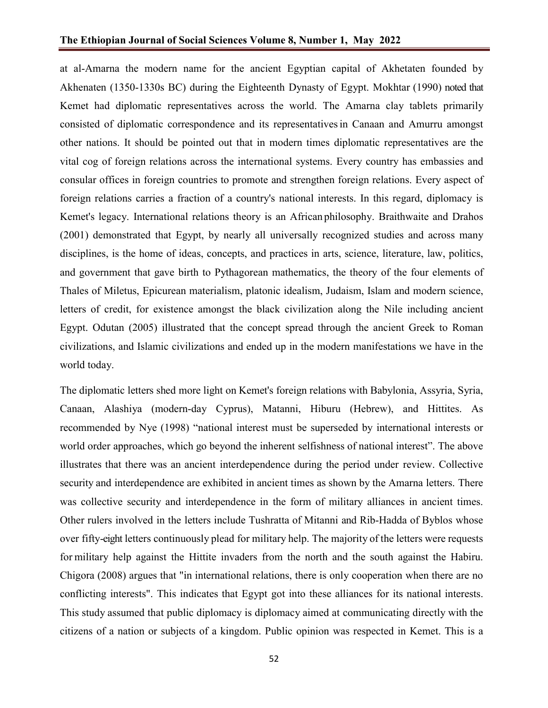at al-Amarna the modern name for the ancient Egyptian capital of Akhetaten founded by Akhenaten (1350-1330s BC) during the Eighteenth Dynasty of Egypt. Mokhtar (1990) noted that Kemet had diplomatic representatives across the world. The Amarna clay tablets primarily consisted of diplomatic correspondence and its representativesin Canaan and Amurru amongst other nations. It should be pointed out that in modern times diplomatic representatives are the vital cog of foreign relations across the international systems. Every country has embassies and consular offices in foreign countries to promote and strengthen foreign relations. Every aspect of foreign relations carries a fraction of a country's national interests. In this regard, diplomacy is Kemet's legacy. International relations theory is an African philosophy. Braithwaite and Drahos (2001) demonstrated that Egypt, by nearly all universally recognized studies and across many disciplines, is the home of ideas, concepts, and practices in arts, science, literature, law, politics, and government that gave birth to Pythagorean mathematics, the theory of the four elements of Thales of Miletus, Epicurean materialism, platonic idealism, Judaism, Islam and modern science, letters of credit, for existence amongst the black civilization along the Nile including ancient Egypt. Odutan (2005) illustrated that the concept spread through the ancient Greek to Roman civilizations, and Islamic civilizations and ended up in the modern manifestations we have in the world today.

The diplomatic letters shed more light on Kemet's foreign relations with Babylonia, Assyria, Syria, Canaan, Alashiya (modern-day Cyprus), Matanni, Hiburu (Hebrew), and Hittites. As recommended by Nye (1998) "national interest must be superseded by international interests or world order approaches, which go beyond the inherent selfishness of national interest". The above illustrates that there was an ancient interdependence during the period under review. Collective security and interdependence are exhibited in ancient times as shown by the Amarna letters. There was collective security and interdependence in the form of military alliances in ancient times. Other rulers involved in the letters include Tushratta of Mitanni and Rib-Hadda of Byblos whose over fifty-eight letters continuously plead for military help. The majority of the letters were requests for military help against the Hittite invaders from the north and the south against the Habiru. Chigora (2008) argues that "in international relations, there is only cooperation when there are no conflicting interests". This indicates that Egypt got into these alliances for its national interests. This study assumed that public diplomacy is diplomacy aimed at communicating directly with the citizens of a nation or subjects of a kingdom. Public opinion was respected in Kemet. This is a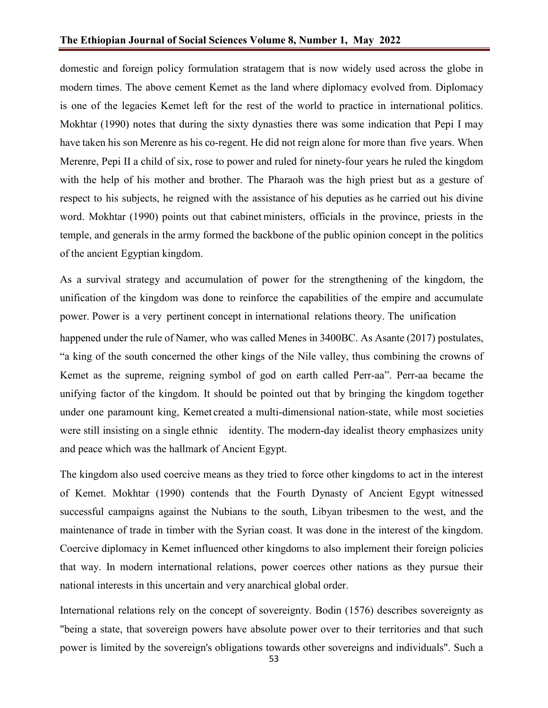domestic and foreign policy formulation stratagem that is now widely used across the globe in modern times. The above cement Kemet as the land where diplomacy evolved from. Diplomacy is one of the legacies Kemet left for the rest of the world to practice in international politics. Mokhtar (1990) notes that during the sixty dynasties there was some indication that Pepi I may have taken his son Merenre as his co-regent. He did not reign alone for more than five years. When Merenre, Pepi II a child of six, rose to power and ruled for ninety-four years he ruled the kingdom with the help of his mother and brother. The Pharaoh was the high priest but as a gesture of respect to his subjects, he reigned with the assistance of his deputies as he carried out his divine word. Mokhtar (1990) points out that cabinet ministers, officials in the province, priests in the temple, and generals in the army formed the backbone of the public opinion concept in the politics of the ancient Egyptian kingdom.

As a survival strategy and accumulation of power for the strengthening of the kingdom, the unification of the kingdom was done to reinforce the capabilities of the empire and accumulate power. Power is a very pertinent concept in international relations theory. The unification happened under the rule of Namer, who was called Menes in 3400BC. As Asante (2017) postulates, "a king of the south concerned the other kings of the Nile valley, thus combining the crowns of Kemet as the supreme, reigning symbol of god on earth called Perr-aa". Perr-aa became the unifying factor of the kingdom. It should be pointed out that by bringing the kingdom together under one paramount king, Kemet created a multi-dimensional nation-state, while most societies were still insisting on a single ethnic identity. The modern-day idealist theory emphasizes unity and peace which was the hallmark of Ancient Egypt.

The kingdom also used coercive means as they tried to force other kingdoms to act in the interest of Kemet. Mokhtar (1990) contends that the Fourth Dynasty of Ancient Egypt witnessed successful campaigns against the Nubians to the south, Libyan tribesmen to the west, and the maintenance of trade in timber with the Syrian coast. It was done in the interest of the kingdom. Coercive diplomacy in Kemet influenced other kingdoms to also implement their foreign policies that way. In modern international relations, power coerces other nations as they pursue their national interests in this uncertain and very anarchical global order.

International relations rely on the concept of sovereignty. Bodin (1576) describes sovereignty as "being a state, that sovereign powers have absolute power over to their territories and that such power is limited by the sovereign's obligations towards other sovereigns and individuals". Such a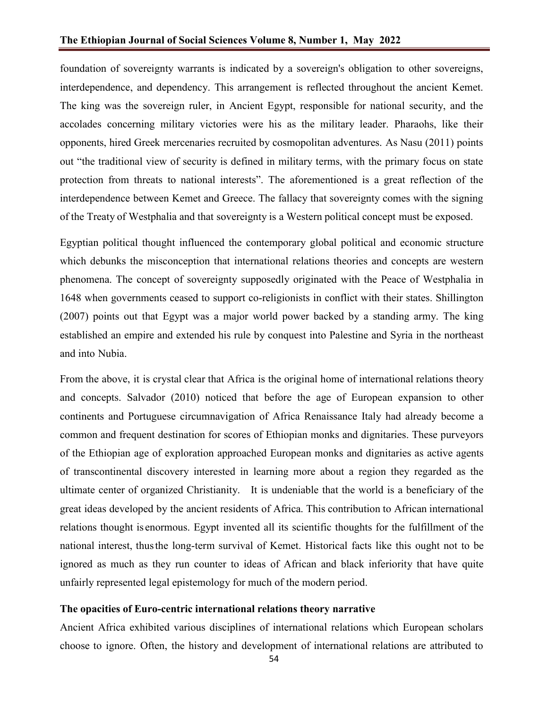foundation of sovereignty warrants is indicated by a sovereign's obligation to other sovereigns, interdependence, and dependency. This arrangement is reflected throughout the ancient Kemet. The king was the sovereign ruler, in Ancient Egypt, responsible for national security, and the accolades concerning military victories were his as the military leader. Pharaohs, like their opponents, hired Greek mercenaries recruited by cosmopolitan adventures. As Nasu (2011) points out "the traditional view of security is defined in military terms, with the primary focus on state protection from threats to national interests". The aforementioned is a great reflection of the interdependence between Kemet and Greece. The fallacy that sovereignty comes with the signing of the Treaty of Westphalia and that sovereignty is a Western political concept must be exposed.

Egyptian political thought influenced the contemporary global political and economic structure which debunks the misconception that international relations theories and concepts are western phenomena. The concept of sovereignty supposedly originated with the Peace of Westphalia in 1648 when governments ceased to support co-religionists in conflict with their states. Shillington (2007) points out that Egypt was a major world power backed by a standing army. The king established an empire and extended his rule by conquest into Palestine and Syria in the northeast and into Nubia.

From the above, it is crystal clear that Africa is the original home of international relations theory and concepts. Salvador (2010) noticed that before the age of European expansion to other continents and Portuguese circumnavigation of Africa Renaissance Italy had already become a common and frequent destination for scores of Ethiopian monks and dignitaries. These purveyors of the Ethiopian age of exploration approached European monks and dignitaries as active agents of transcontinental discovery interested in learning more about a region they regarded as the ultimate center of organized Christianity. It is undeniable that the world is a beneficiary of the great ideas developed by the ancient residents of Africa. This contribution to African international relations thought is enormous. Egypt invented all its scientific thoughts for the fulfillment of the national interest, thusthe long-term survival of Kemet. Historical facts like this ought not to be ignored as much as they run counter to ideas of African and black inferiority that have quite unfairly represented legal epistemology for much of the modern period.

#### **The opacities of Euro-centric international relations theory narrative**

Ancient Africa exhibited various disciplines of international relations which European scholars choose to ignore. Often, the history and development of international relations are attributed to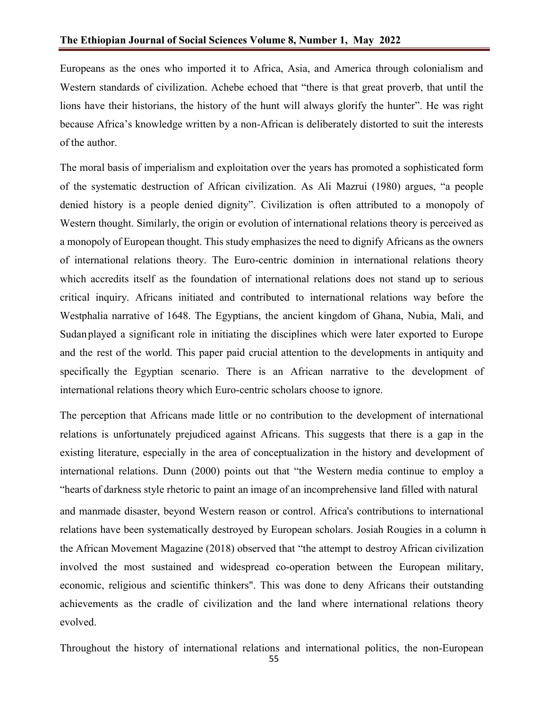Europeans as the ones who imported it to Africa, Asia, and America through colonialism and Western standards of civilization. Achebe echoed that "there is that great proverb, that until the lions have their historians, the history of the hunt will always glorify the hunter". He was right because Africa's knowledge written by a non-African is deliberately distorted to suit the interests of the author.

The moral basis of imperialism and exploitation over the years has promoted a sophisticated form of the systematic destruction of African civilization. As Ali Mazrui (1980) argues, "a people denied history is a people denied dignity". Civilization is often attributed to a monopoly of Western thought. Similarly, the origin or evolution of international relations theory is perceived as a monopoly of European thought. This study emphasizes the need to dignify Africans as the owners of international relations theory. The Euro-centric dominion in international relations theory which accredits itself as the foundation of international relations does not stand up to serious critical inquiry. Africans initiated and contributed to international relations way before the Westphalia narrative of 1648. The Egyptians, the ancient kingdom of Ghana, Nubia, Mali, and Sudanplayed a significant role in initiating the disciplines which were later exported to Europe and the rest of the world. This paper paid crucial attention to the developments in antiquity and specifically the Egyptian scenario. There is an African narrative to the development of international relations theory which Euro-centric scholars choose to ignore.

The perception that Africans made little or no contribution to the development of international relations is unfortunately prejudiced against Africans. This suggests that there is a gap in the existing literature, especially in the area of conceptualization in the history and development of international relations. Dunn (2000) points out that "the Western media continue to employ a "hearts of darkness style rhetoric to paint an image of an incomprehensive land filled with natural

and manmade disaster, beyond Western reason or control. Africa's contributions to international relations have been systematically destroyed by European scholars. Josiah Rougies in a column in the African Movement Magazine (2018) observed that "the attempt to destroy African civilization involved the most sustained and widespread co-operation between the European military, economic, religious and scientific thinkers". This was done to deny Africans their outstanding achievements as the cradle of civilization and the land where international relations theory evolved.

Throughout the history of international relations and international politics, the non-European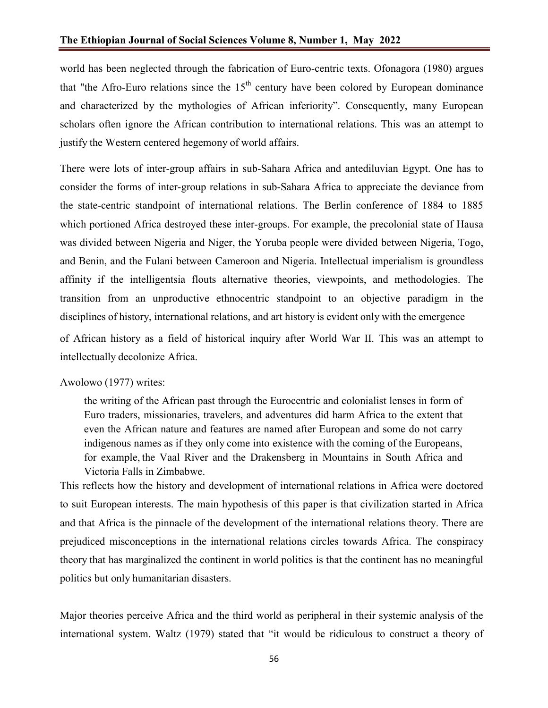world has been neglected through the fabrication of Euro-centric texts. Ofonagora (1980) argues that "the Afro-Euro relations since the  $15<sup>th</sup>$  century have been colored by European dominance and characterized by the mythologies of African inferiority". Consequently, many European scholars often ignore the African contribution to international relations. This was an attempt to justify the Western centered hegemony of world affairs.

There were lots of inter-group affairs in sub-Sahara Africa and antediluvian Egypt. One has to consider the forms of inter-group relations in sub-Sahara Africa to appreciate the deviance from the state-centric standpoint of international relations. The Berlin conference of 1884 to 1885 which portioned Africa destroyed these inter-groups. For example, the precolonial state of Hausa was divided between Nigeria and Niger, the Yoruba people were divided between Nigeria, Togo, and Benin, and the Fulani between Cameroon and Nigeria. Intellectual imperialism is groundless affinity if the intelligentsia flouts alternative theories, viewpoints, and methodologies. The transition from an unproductive ethnocentric standpoint to an objective paradigm in the disciplines of history, international relations, and art history is evident only with the emergence

of African history as a field of historical inquiry after World War II. This was an attempt to intellectually decolonize Africa.

### Awolowo (1977) writes:

the writing of the African past through the Eurocentric and colonialist lenses in form of Euro traders, missionaries, travelers, and adventures did harm Africa to the extent that even the African nature and features are named after European and some do not carry indigenous names as if they only come into existence with the coming of the Europeans, for example, the Vaal River and the Drakensberg in Mountains in South Africa and Victoria Falls in Zimbabwe.

This reflects how the history and development of international relations in Africa were doctored to suit European interests. The main hypothesis of this paper is that civilization started in Africa and that Africa is the pinnacle of the development of the international relations theory. There are prejudiced misconceptions in the international relations circles towards Africa. The conspiracy theory that has marginalized the continent in world politics is that the continent has no meaningful politics but only humanitarian disasters.

Major theories perceive Africa and the third world as peripheral in their systemic analysis of the international system. Waltz (1979) stated that "it would be ridiculous to construct a theory of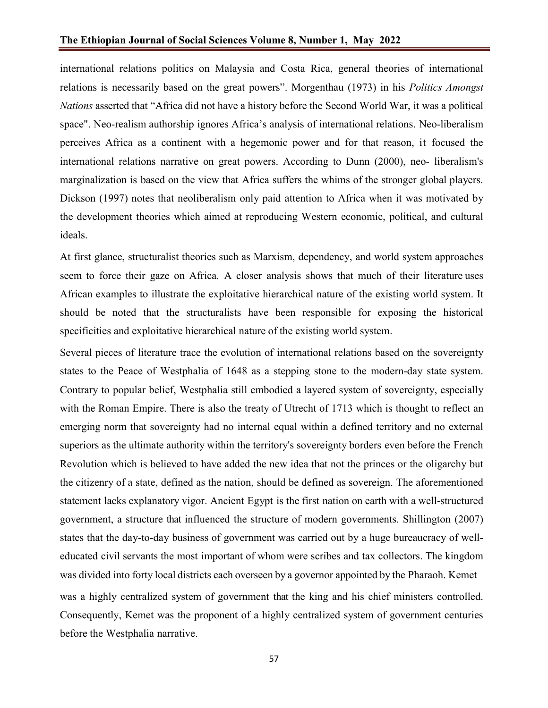international relations politics on Malaysia and Costa Rica, general theories of international relations is necessarily based on the great powers". Morgenthau (1973) in his *Politics Amongst Nations* asserted that "Africa did not have a history before the Second World War, it was a political space". Neo-realism authorship ignores Africa's analysis of international relations. Neo-liberalism perceives Africa as a continent with a hegemonic power and for that reason, it focused the international relations narrative on great powers. According to Dunn (2000), neo- liberalism's marginalization is based on the view that Africa suffers the whims of the stronger global players. Dickson (1997) notes that neoliberalism only paid attention to Africa when it was motivated by the development theories which aimed at reproducing Western economic, political, and cultural ideals.

At first glance, structuralist theories such as Marxism, dependency, and world system approaches seem to force their gaze on Africa. A closer analysis shows that much of their literature uses African examples to illustrate the exploitative hierarchical nature of the existing world system. It should be noted that the structuralists have been responsible for exposing the historical specificities and exploitative hierarchical nature of the existing world system.

Several pieces of literature trace the evolution of international relations based on the sovereignty states to the Peace of Westphalia of 1648 as a stepping stone to the modern-day state system. Contrary to popular belief, Westphalia still embodied a layered system of sovereignty, especially with the Roman Empire. There is also the treaty of Utrecht of 1713 which is thought to reflect an emerging norm that sovereignty had no internal equal within a defined territory and no external superiors as the ultimate authority within the territory's sovereignty borders even before the French Revolution which is believed to have added the new idea that not the princes or the oligarchy but the citizenry of a state, defined as the nation, should be defined as sovereign. The aforementioned statement lacks explanatory vigor. Ancient Egypt is the first nation on earth with a well-structured government, a structure that influenced the structure of modern governments. Shillington (2007) states that the day-to-day business of government was carried out by a huge bureaucracy of welleducated civil servants the most important of whom were scribes and tax collectors. The kingdom was divided into forty local districts each overseen by a governor appointed by the Pharaoh. Kemet was a highly centralized system of government that the king and his chief ministers controlled. Consequently, Kemet was the proponent of a highly centralized system of government centuries before the Westphalia narrative.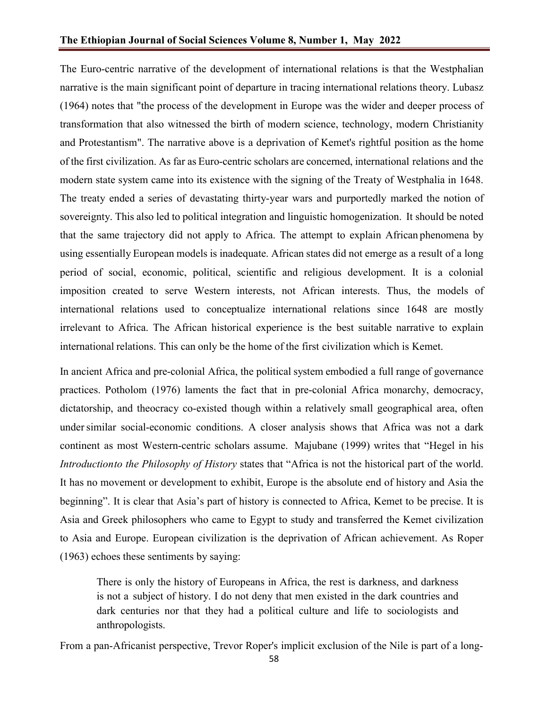The Euro-centric narrative of the development of international relations is that the Westphalian narrative is the main significant point of departure in tracing international relations theory. Lubasz (1964) notes that "the process of the development in Europe was the wider and deeper process of transformation that also witnessed the birth of modern science, technology, modern Christianity and Protestantism". The narrative above is a deprivation of Kemet's rightful position as the home of the first civilization. As far as Euro-centric scholars are concerned, international relations and the modern state system came into its existence with the signing of the Treaty of Westphalia in 1648. The treaty ended a series of devastating thirty-year wars and purportedly marked the notion of sovereignty. This also led to political integration and linguistic homogenization. It should be noted that the same trajectory did not apply to Africa. The attempt to explain African phenomena by using essentially European models is inadequate. African states did not emerge as a result of a long period of social, economic, political, scientific and religious development. It is a colonial imposition created to serve Western interests, not African interests. Thus, the models of international relations used to conceptualize international relations since 1648 are mostly irrelevant to Africa. The African historical experience is the best suitable narrative to explain international relations. This can only be the home of the first civilization which is Kemet.

In ancient Africa and pre-colonial Africa, the political system embodied a full range of governance practices. Potholom (1976) laments the fact that in pre-colonial Africa monarchy, democracy, dictatorship, and theocracy co-existed though within a relatively small geographical area, often undersimilar social-economic conditions. A closer analysis shows that Africa was not a dark continent as most Western-centric scholars assume. Majubane (1999) writes that "Hegel in his *Introductionto the Philosophy of History* states that "Africa is not the historical part of the world. It has no movement or development to exhibit, Europe is the absolute end of history and Asia the beginning". It is clear that Asia's part of history is connected to Africa, Kemet to be precise. It is Asia and Greek philosophers who came to Egypt to study and transferred the Kemet civilization to Asia and Europe. European civilization is the deprivation of African achievement. As Roper (1963) echoes these sentiments by saying:

There is only the history of Europeans in Africa, the rest is darkness, and darkness is not a subject of history. I do not deny that men existed in the dark countries and dark centuries nor that they had a political culture and life to sociologists and anthropologists.

From a pan-Africanist perspective, Trevor Roper's implicit exclusion of the Nile is part of a long-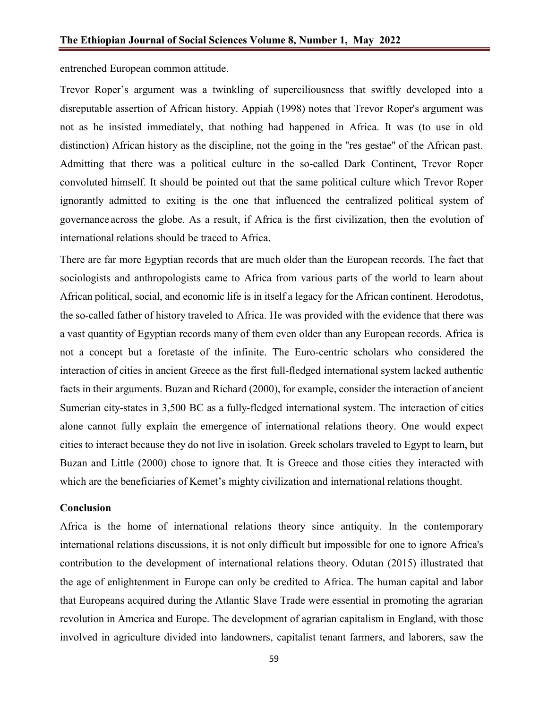entrenched European common attitude.

Trevor Roper's argument was a twinkling of superciliousness that swiftly developed into a disreputable assertion of African history. Appiah (1998) notes that Trevor Roper's argument was not as he insisted immediately, that nothing had happened in Africa. It was (to use in old distinction) African history as the discipline, not the going in the ''res gestae'' of the African past. Admitting that there was a political culture in the so-called Dark Continent, Trevor Roper convoluted himself. It should be pointed out that the same political culture which Trevor Roper ignorantly admitted to exiting is the one that influenced the centralized political system of governance across the globe. As a result, if Africa is the first civilization, then the evolution of international relations should be traced to Africa.

There are far more Egyptian records that are much older than the European records. The fact that sociologists and anthropologists came to Africa from various parts of the world to learn about African political, social, and economic life is in itself a legacy for the African continent. Herodotus, the so-called father of history traveled to Africa. He was provided with the evidence that there was a vast quantity of Egyptian records many of them even older than any European records. Africa is not a concept but a foretaste of the infinite. The Euro-centric scholars who considered the interaction of cities in ancient Greece as the first full-fledged international system lacked authentic facts in their arguments. Buzan and Richard (2000), for example, consider the interaction of ancient Sumerian city-states in 3,500 BC as a fully-fledged international system. The interaction of cities alone cannot fully explain the emergence of international relations theory. One would expect cities to interact because they do not live in isolation. Greek scholars traveled to Egypt to learn, but Buzan and Little (2000) chose to ignore that. It is Greece and those cities they interacted with which are the beneficiaries of Kemet's mighty civilization and international relations thought.

# **Conclusion**

Africa is the home of international relations theory since antiquity. In the contemporary international relations discussions, it is not only difficult but impossible for one to ignore Africa's contribution to the development of international relations theory. Odutan (2015) illustrated that the age of enlightenment in Europe can only be credited to Africa. The human capital and labor that Europeans acquired during the Atlantic Slave Trade were essential in promoting the agrarian revolution in America and Europe. The development of agrarian capitalism in England, with those involved in agriculture divided into landowners, capitalist tenant farmers, and laborers, saw the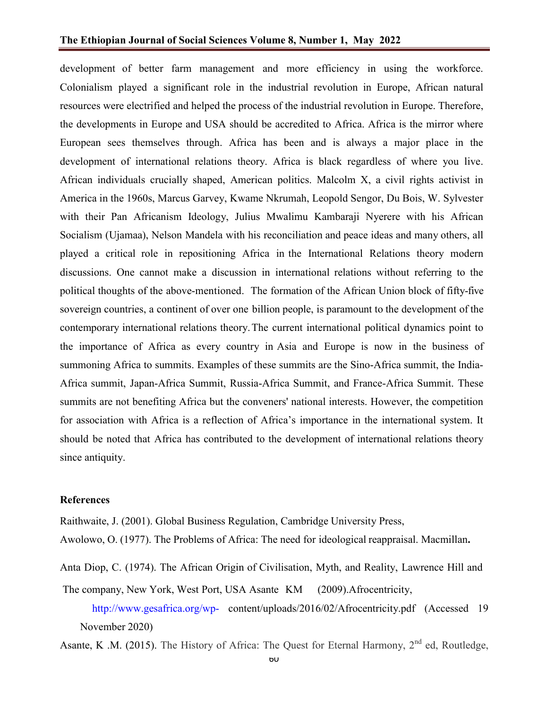development of better farm management and more efficiency in using the workforce. Colonialism played a significant role in the industrial revolution in Europe, African natural resources were electrified and helped the process of the industrial revolution in Europe. Therefore, the developments in Europe and USA should be accredited to Africa. Africa is the mirror where European sees themselves through. Africa has been and is always a major place in the development of international relations theory. Africa is black regardless of where you live. African individuals crucially shaped, American politics. Malcolm X, a civil rights activist in America in the 1960s, Marcus Garvey, Kwame Nkrumah, Leopold Sengor, Du Bois, W. Sylvester with their Pan Africanism Ideology, Julius Mwalimu Kambaraji Nyerere with his African Socialism (Ujamaa), Nelson Mandela with his reconciliation and peace ideas and many others, all played a critical role in repositioning Africa in the International Relations theory modern discussions. One cannot make a discussion in international relations without referring to the political thoughts of the above-mentioned. The formation of the African Union block of fifty-five sovereign countries, a continent of over one billion people, is paramount to the development of the contemporary international relations theory.The current international political dynamics point to the importance of Africa as every country in Asia and Europe is now in the business of summoning Africa to summits. Examples of these summits are the Sino-Africa summit, the India-Africa summit, Japan-Africa Summit, Russia-Africa Summit, and France-Africa Summit. These summits are not benefiting Africa but the conveners' national interests. However, the competition for association with Africa is a reflection of Africa's importance in the international system. It should be noted that Africa has contributed to the development of international relations theory since antiquity.

### **References**

Raithwaite, J. (2001). Global Business Regulation, Cambridge University Press,

Awolowo, O. (1977). The Problems of Africa: The need for ideological reappraisal. Macmillan**.**

- Anta Diop, C. (1974). The African Origin of Civilisation, Myth, and Reality, Lawrence Hill and
- The company, New York, West Port, USA Asante KM (2009).Afrocentricity, <http://www.gesafrica.org/wp-> [content/uploads/2016/02/Afrocentricity.pdf \(](http://www.gesafrica.org/wp-content/uploads/2016/02/Afrocentricity.pdf)Accessed 19 November 2020)
- Asante, K .M. (2015). The History of Africa: The Quest for Eternal Harmony, 2<sup>nd</sup> ed, Routledge,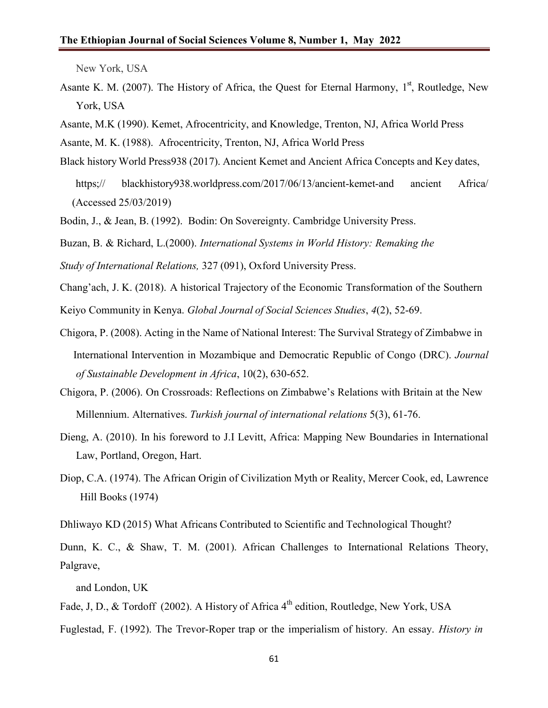New York, USA

- Asante K. M. (2007). The History of Africa, the Quest for Eternal Harmony, 1st, Routledge, New York, USA
- Asante, M.K (1990). Kemet, Afrocentricity, and Knowledge, Trenton, NJ, Africa World Press
- Asante, M. K. (1988). Afrocentricity, Trenton, NJ, Africa World Press
- Black history World Press938 (2017). Ancient Kemet and Ancient Africa Concepts and Key dates, https;// blackhistory938.worldpress.com/2017/06/13/ancient-kemet-and ancient Africa/ (Accessed 25/03/2019)
- Bodin, J., & Jean, B. (1992). Bodin: On Sovereignty. Cambridge University Press.

Buzan, B. & Richard, L.(2000). *International Systems in World History: Remaking the*

*Study of International Relations,* 327 (091), Oxford University Press.

Chang'ach, J. K. (2018). A historical Trajectory of the Economic Transformation of the Southern

Keiyo Community in Kenya. *Global Journal of Social Sciences Studies*, *4*(2), 52-69.

- Chigora, P. (2008). Acting in the Name of National Interest: The Survival Strategy of Zimbabwe in International Intervention in Mozambique and Democratic Republic of Congo (DRC). *Journal of Sustainable Development in Africa*, 10(2), 630-652.
- Chigora, P. (2006). On Crossroads: Reflections on Zimbabwe's Relations with Britain at the New Millennium. Alternatives. *Turkish journal of international relations* 5(3), 61-76.
- Dieng, A. (2010). In his foreword to J.I Levitt, Africa: Mapping New Boundaries in International Law, Portland, Oregon, Hart.
- Diop, C.A. (1974). The African Origin of Civilization Myth or Reality, Mercer Cook, ed, Lawrence Hill Books (1974)
- Dhliwayo KD (2015) What Africans Contributed to Scientific and Technological Thought?

Dunn, K. C., & Shaw, T. M. (2001). African Challenges to International Relations Theory, Palgrave,

and London, UK

- Fade, J, D., & Tordoff (2002). A History of Africa 4<sup>th</sup> edition, Routledge, New York, USA
- Fuglestad, F. (1992). The Trevor-Roper trap or the imperialism of history. An essay. *History in*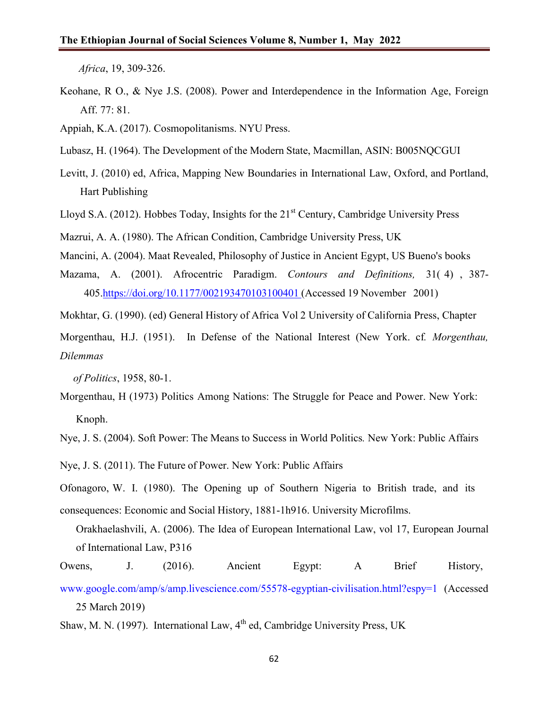*Africa*, 19, 309-326.

- Keohane, R O., & Nye J.S. (2008). Power and Interdependence in the Information Age, Foreign Aff. 77: 81.
- Appiah, K.A. (2017). Cosmopolitanisms. NYU Press.
- Lubasz, H. (1964). The Development of the Modern State, Macmillan, ASIN: B005NQCGUI
- Levitt, J. (2010) ed, Africa, Mapping New Boundaries in International Law, Oxford, and Portland, Hart Publishing
- Lloyd S.A. (2012). Hobbes Today, Insights for the  $21<sup>st</sup>$  Century, Cambridge University Press

Mazrui, A. A. (1980). The African Condition, Cambridge University Press, UK

Mancini, A. (2004). Maat Revealed, Philosophy of Justice in Ancient Egypt, US Bueno's books

Mazama, A. (2001). Afrocentric Paradigm. *Contours and Definitions,* 31( 4) , 387- 405.https://doi.org/10.1177/002193470103100401 (Accessed 19 November 2001)

Mokhtar, G. (1990). (ed) General History of Africa Vol 2 University of California Press, Chapter

Morgenthau, H.J. (1951). In Defense of the National Interest (New York. cf*. Morgenthau, Dilemmas*

 *of Politics*, 1958, 80-1.

Morgenthau, H (1973) Politics Among Nations: The Struggle for Peace and Power. New York: Knoph.

Nye, J. S. (2004). Soft Power: The Means to Success in World Politics*.* New York: Public Affairs

Nye, J. S. (2011). The Future of Power. New York: Public Affairs

Ofonagoro, W. I. (1980). The Opening up of Southern Nigeria to British trade, and its

- consequences: Economic and Social History, 1881-1h916. University Microfilms.
	- Orakhaelashvili, A. (2006). The Idea of European International Law, vol 17, European Journal of International Law, P316
- Owens, J. (2016). Ancient Egypt: A Brief History,
- [www.google.com/amp/s/amp.livescience.com/55578-egyptian-civilisation.html?espy=1](http://www.google.com/amp/s/amp.livescience.com/55578-egyptian-civilisation.html?espy=1) (Accessed 25 March 2019)
- Shaw, M. N. (1997). International Law,  $4<sup>th</sup>$  ed, Cambridge University Press, UK